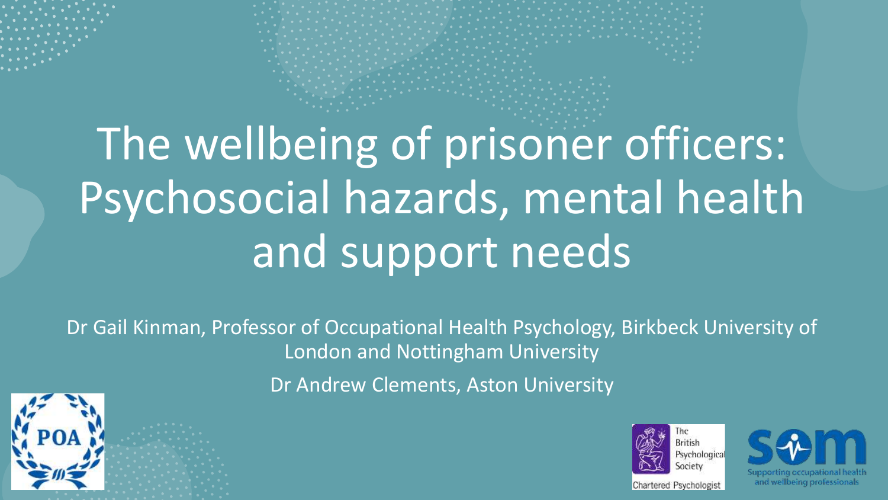# The wellbeing of prisoner officers: Psychosocial hazards, mental health and support needs

Dr Gail Kinman, Professor of Occupational Health Psychology, Birkbeck University of London and Nottingham University

Dr Andrew Clements, Aston University





and wellbeing professionals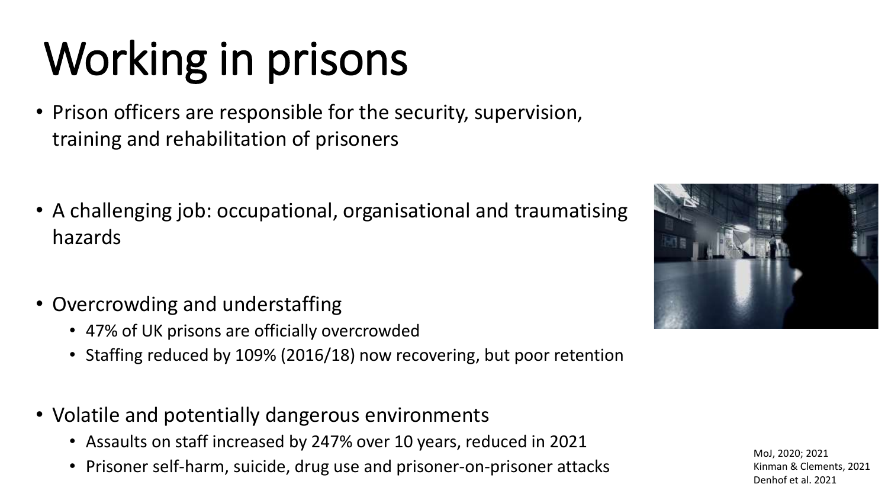# Working in prisons

- Prison officers are responsible for the security, supervision, training and rehabilitation of prisoners
- A challenging job: occupational, organisational and traumatising hazards
- Overcrowding and understaffing
	- 47% of UK prisons are officially overcrowded
	- Staffing reduced by 109% (2016/18) now recovering, but poor retention
- Volatile and potentially dangerous environments
	- Assaults on staff increased by 247% over 10 years, reduced in 2021
	- Prisoner self-harm, suicide, drug use and prisoner-on-prisoner attacks



MoJ, 2020; 2021 Kinman & Clements, 2021 Denhof et al. 2021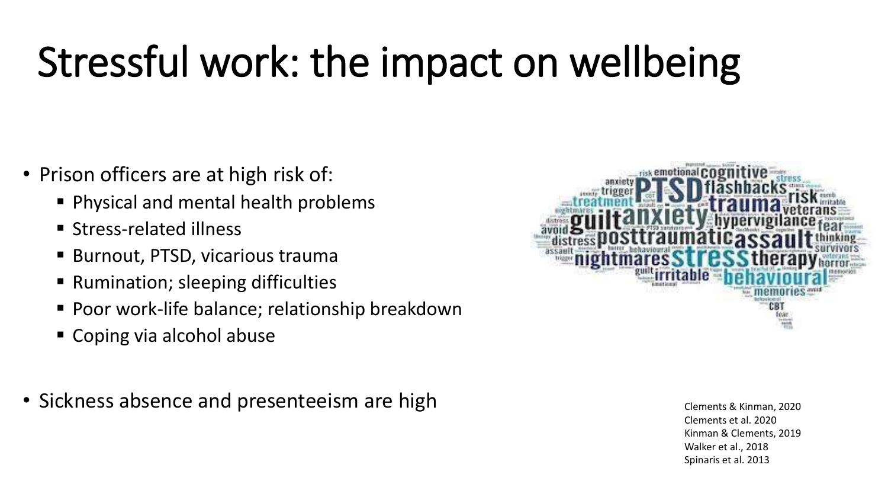# Stressful work: the impact on wellbeing

- Prison officers are at high risk of:
	- Physical and mental health problems
	- Stress-related illness
	- Burnout, PTSD, vicarious trauma
	- Rumination; sleeping difficulties
	- Poor work-life balance; relationship breakdown
	- Coping via alcohol abuse
- Sickness absence and presenteeism are high Clements & Kinman, 2020



Clements et al. 2020 Kinman & Clements, 2019 Walker et al., 2018 Spinaris et al. 2013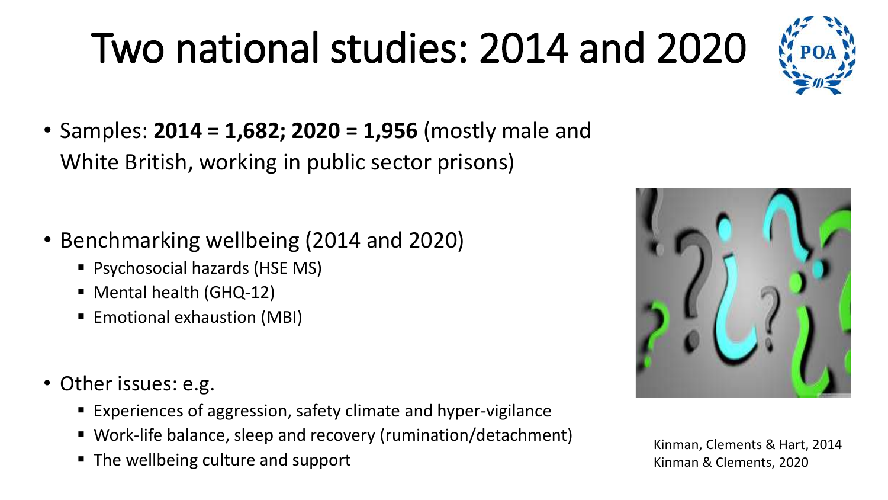# Two national studies: 2014 and 2020



• Samples: **2014 = 1,682; 2020 = 1,956** (mostly male and White British, working in public sector prisons)

- Benchmarking wellbeing (2014 and 2020)
	- Psychosocial hazards (HSE MS)
	- Mental health (GHQ-12)
	- Emotional exhaustion (MBI)
- Other issues: e.g.
	- Experiences of aggression, safety climate and hyper-vigilance
	- Work-life balance, sleep and recovery (rumination/detachment)
	- The wellbeing culture and support



Kinman, Clements & Hart, 2014 Kinman & Clements, 2020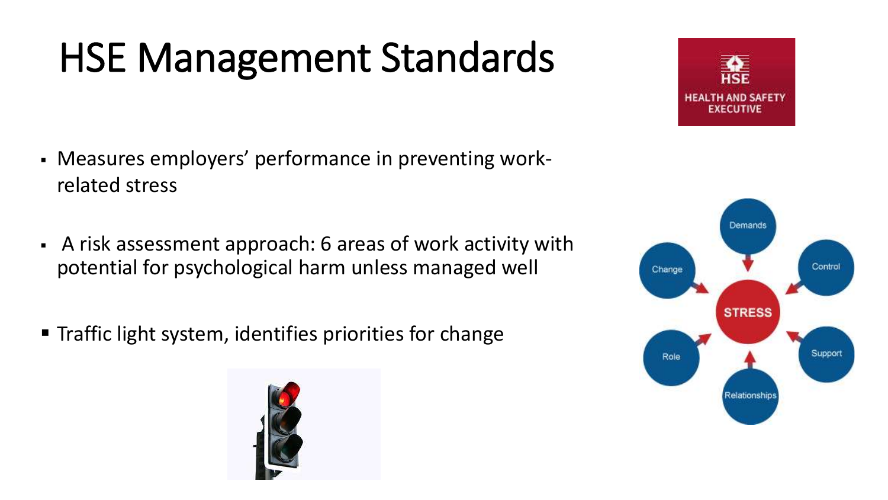# HSE Management Standards

- Measures employers' performance in preventing workrelated stress
- A risk assessment approach: 6 areas of work activity with potential for psychological harm unless managed well
- Traffic light system, identifies priorities for change





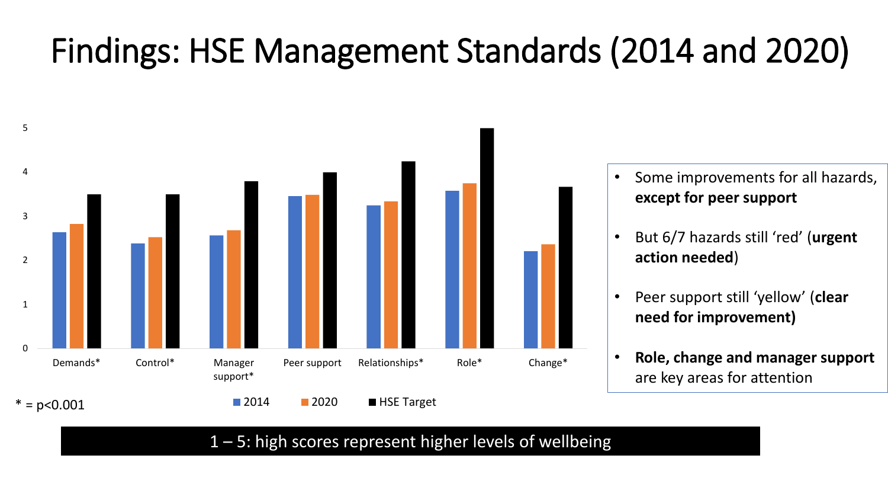### Findings: HSE Management Standards (2014 and 2020)



- Some improvements for all hazards, **except for peer support**
- But 6/7 hazards still 'red' (**urgent action needed**)
- Peer support still 'yellow' (**clear need for improvement)**
- **Role, change and manager support**  are key areas for attention

1 – 5: high scores represent higher levels of wellbeing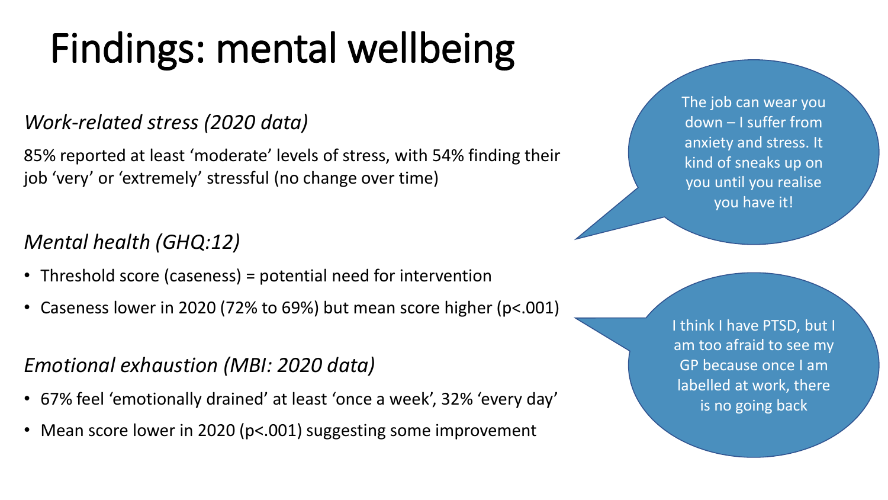# Findings: mental wellbeing

#### *Work-related stress (2020 data)*

85% reported at least 'moderate' levels of stress, with 54% finding their job 'very' or 'extremely' stressful (no change over time)

#### *Mental health (GHQ:12)*

- Threshold score (caseness) = potential need for intervention
- Caseness lower in 2020 (72% to 69%) but mean score higher (p<.001)

#### *Emotional exhaustion (MBI: 2020 data)*

- 67% feel 'emotionally drained' at least 'once a week', 32% 'every day'
- Mean score lower in 2020 (p<.001) suggesting some improvement

The job can wear you down – I suffer from anxiety and stress. It kind of sneaks up on you until you realise you have it!

I think I have PTSD, but I am too afraid to see my GP because once I am labelled at work, there is no going back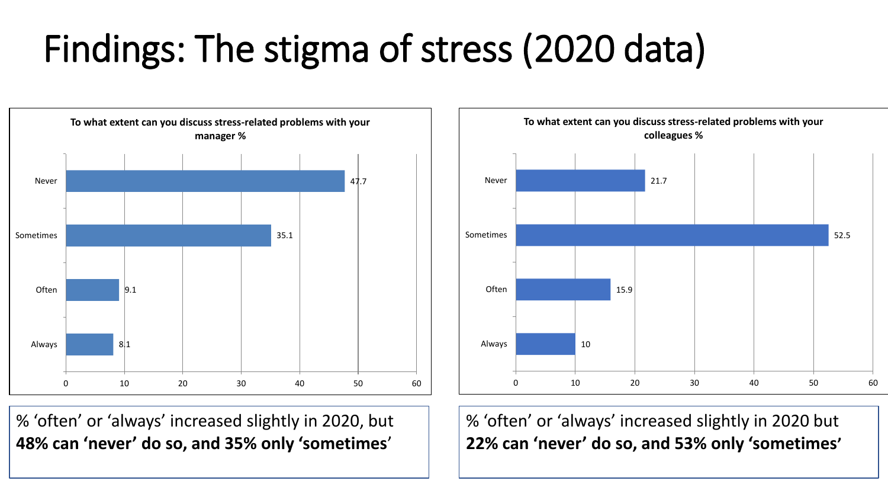### Findings: The stigma of stress (2020 data)



% 'often' or 'always' increased slightly in 2020, but **48% can 'never' do so, and 35% only 'sometimes**'



% 'often' or 'always' increased slightly in 2020 but **22% can 'never' do so, and 53% only 'sometimes'**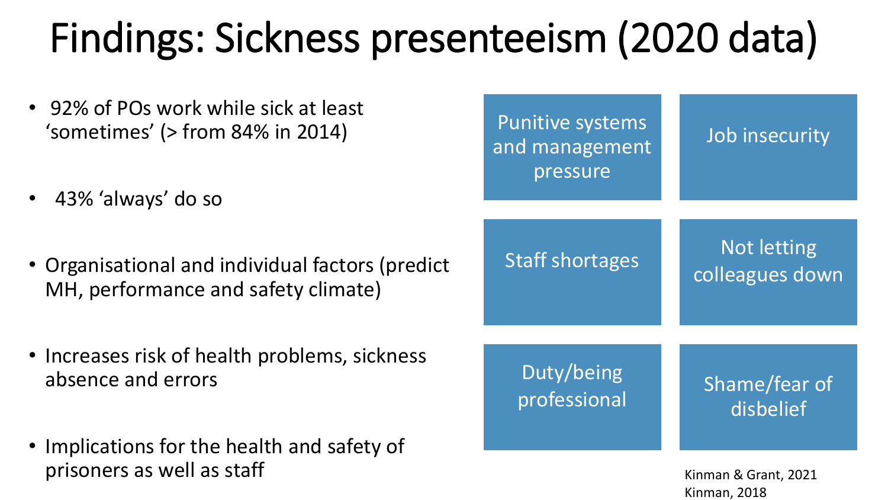# Findings: Sickness presenteeism (2020 data)

- 92% of POs work while sick at least 'sometimes' (> from 84% in 2014)
- 43% 'always' do so
- Organisational and individual factors (predict MH, performance and safety climate)
- Increases risk of health problems, sickness absence and errors
- Implications for the health and safety of prisoners as well as staff

| <b>Punitive systems</b><br>and management<br>pressure | Job insecurity                        |
|-------------------------------------------------------|---------------------------------------|
| <b>Staff shortages</b>                                | <b>Not letting</b><br>colleagues down |
| Duty/being<br>professional                            | Shame/fear of<br>disbelief            |
|                                                       |                                       |

Kinman & Grant, 2021 Kinman, 2018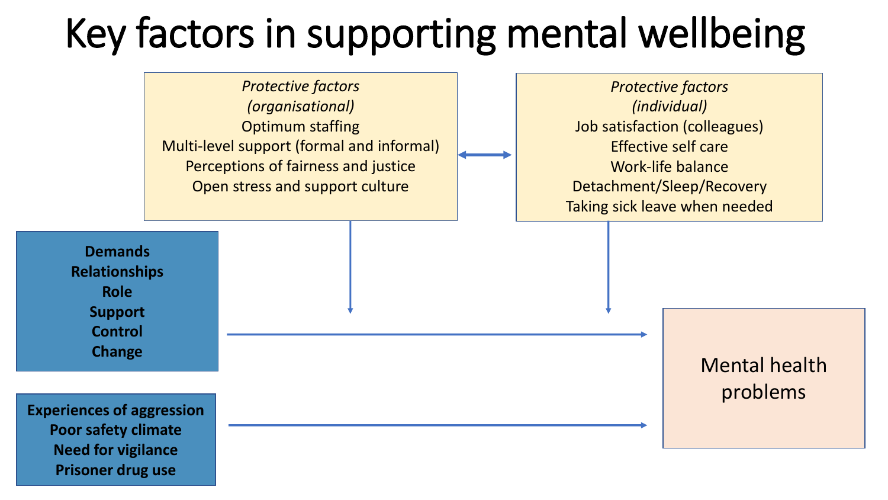## Key factors in supporting mental wellbeing

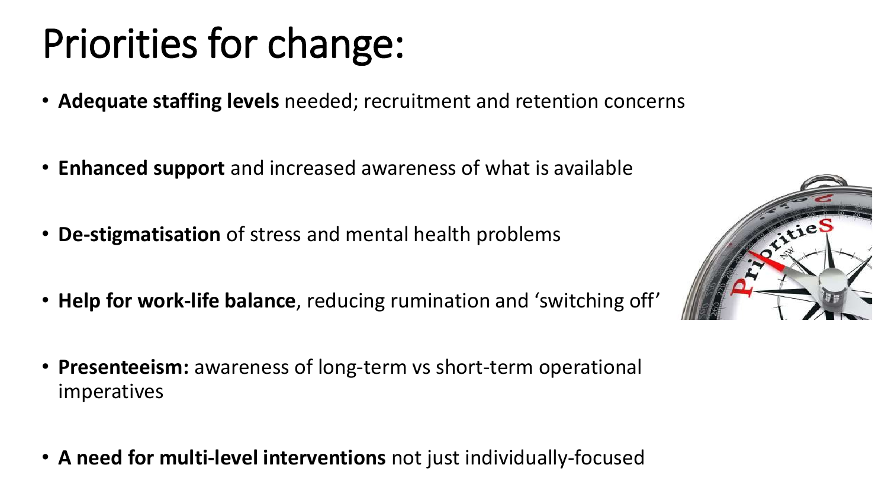## Priorities for change:

- **Adequate staffing levels** needed; recruitment and retention concerns
- **Enhanced support** and increased awareness of what is available
- **De-stigmatisation** of stress and mental health problems
- **Help for work-life balance**, reducing rumination and 'switching off'
- **Presenteeism:** awareness of long-term vs short-term operational imperatives
- **A need for multi-level interventions** not just individually-focused